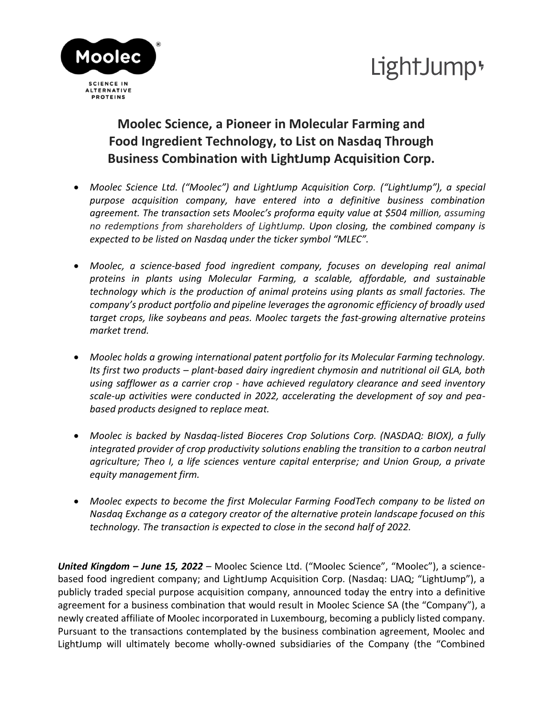



## **Moolec Science, a Pioneer in Molecular Farming and Food Ingredient Technology, to List on Nasdaq Through Business Combination with LightJump Acquisition Corp.**

- *Moolec Science Ltd. ("Moolec") and LightJump Acquisition Corp. ("LightJump"), a special purpose acquisition company, have entered into a definitive business combination agreement. The transaction sets Moolec's proforma equity value at \$504 million, assuming no redemptions from shareholders of LightJump. Upon closing, the combined company is expected to be listed on Nasdaq under the ticker symbol "MLEC".*
- *Moolec, a science-based food ingredient company, focuses on developing real animal proteins in plants using Molecular Farming, a scalable, affordable, and sustainable technology which is the production of animal proteins using plants as small factories. The company's product portfolio and pipeline leverages the agronomic efficiency of broadly used target crops, like soybeans and peas. Moolec targets the fast-growing alternative proteins market trend.*
- *Moolec holds a growing international patent portfolio for its Molecular Farming technology. Its first two products – plant-based dairy ingredient chymosin and nutritional oil GLA, both using safflower as a carrier crop - have achieved regulatory clearance and seed inventory scale-up activities were conducted in 2022, accelerating the development of soy and peabased products designed to replace meat.*
- *Moolec is backed by Nasdaq-listed Bioceres Crop Solutions Corp. (NASDAQ: BIOX), a fully integrated provider of crop productivity solutions enabling the transition to a carbon neutral agriculture; Theo I, a life sciences venture capital enterprise; and Union Group, a private equity management firm.*
- *Moolec expects to become the first Molecular Farming FoodTech company to be listed on Nasdaq Exchange as a category creator of the alternative protein landscape focused on this technology. The transaction is expected to close in the second half of 2022.*

*United Kingdom – June 15, 2022 –* Moolec Science Ltd. ("Moolec Science", "Moolec"), a sciencebased food ingredient company; and LightJump Acquisition Corp. (Nasdaq: LJAQ; "LightJump"), a publicly traded special purpose acquisition company, announced today the entry into a definitive agreement for a business combination that would result in Moolec Science SA (the "Company"), a newly created affiliate of Moolec incorporated in Luxembourg, becoming a publicly listed company. Pursuant to the transactions contemplated by the business combination agreement, Moolec and LightJump will ultimately become wholly-owned subsidiaries of the Company (the "Combined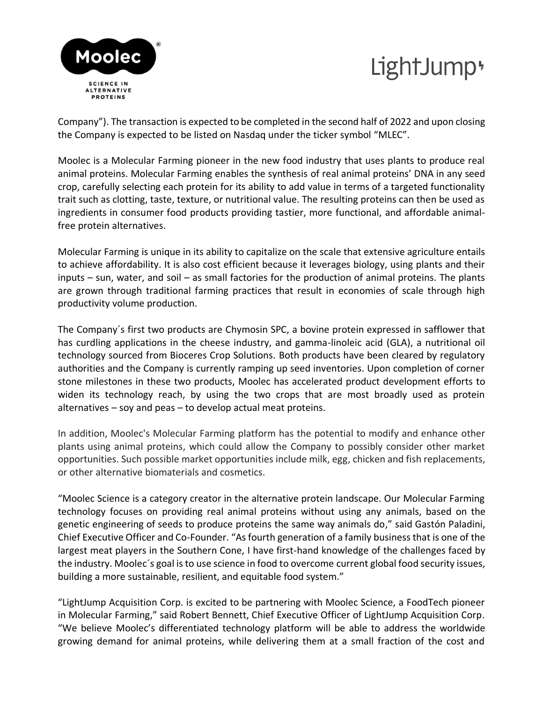# LightJump<sup>+</sup>



Company"). The transaction is expected to be completed in the second half of 2022 and upon closing the Company is expected to be listed on Nasdaq under the ticker symbol "MLEC".

Moolec is a Molecular Farming pioneer in the new food industry that uses plants to produce real animal proteins. Molecular Farming enables the synthesis of real animal proteins' DNA in any seed crop, carefully selecting each protein for its ability to add value in terms of a targeted functionality trait such as clotting, taste, texture, or nutritional value. The resulting proteins can then be used as ingredients in consumer food products providing tastier, more functional, and affordable animalfree protein alternatives.

Molecular Farming is unique in its ability to capitalize on the scale that extensive agriculture entails to achieve affordability. It is also cost efficient because it leverages biology, using plants and their inputs – sun, water, and soil – as small factories for the production of animal proteins. The plants are grown through traditional farming practices that result in economies of scale through high productivity volume production.

The Company´s first two products are Chymosin SPC, a bovine protein expressed in safflower that has curdling applications in the cheese industry, and gamma-linoleic acid (GLA), a nutritional oil technology sourced from Bioceres Crop Solutions. Both products have been cleared by regulatory authorities and the Company is currently ramping up seed inventories. Upon completion of corner stone milestones in these two products, Moolec has accelerated product development efforts to widen its technology reach, by using the two crops that are most broadly used as protein alternatives – soy and peas – to develop actual meat proteins.

In addition, Moolec's Molecular Farming platform has the potential to modify and enhance other plants using animal proteins, which could allow the Company to possibly consider other market opportunities. Such possible market opportunities include milk, egg, chicken and fish replacements, or other alternative biomaterials and cosmetics.

"Moolec Science is a category creator in the alternative protein landscape. Our Molecular Farming technology focuses on providing real animal proteins without using any animals, based on the genetic engineering of seeds to produce proteins the same way animals do," said Gastón Paladini, Chief Executive Officer and Co-Founder. "As fourth generation of a family business that is one of the largest meat players in the Southern Cone, I have first-hand knowledge of the challenges faced by the industry. Moolec´s goal is to use science in food to overcome current global food security issues, building a more sustainable, resilient, and equitable food system."

"LightJump Acquisition Corp. is excited to be partnering with Moolec Science, a FoodTech pioneer in Molecular Farming," said Robert Bennett, Chief Executive Officer of LightJump Acquisition Corp. "We believe Moolec's differentiated technology platform will be able to address the worldwide growing demand for animal proteins, while delivering them at a small fraction of the cost and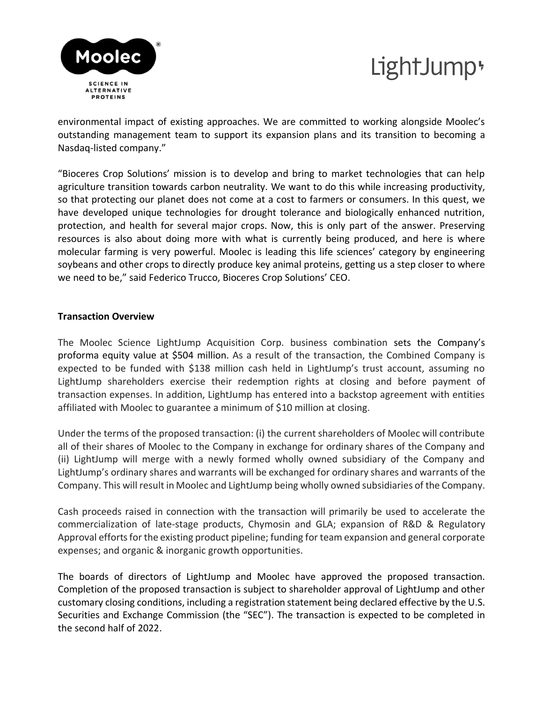

# LightJump<sup>+</sup>

environmental impact of existing approaches. We are committed to working alongside Moolec's outstanding management team to support its expansion plans and its transition to becoming a Nasdaq-listed company."

"Bioceres Crop Solutions' mission is to develop and bring to market technologies that can help agriculture transition towards carbon neutrality. We want to do this while increasing productivity, so that protecting our planet does not come at a cost to farmers or consumers. In this quest, we have developed unique technologies for drought tolerance and biologically enhanced nutrition, protection, and health for several major crops. Now, this is only part of the answer. Preserving resources is also about doing more with what is currently being produced, and here is where molecular farming is very powerful. Moolec is leading this life sciences' category by engineering soybeans and other crops to directly produce key animal proteins, getting us a step closer to where we need to be," said Federico Trucco, Bioceres Crop Solutions' CEO.

#### **Transaction Overview**

The Moolec Science LightJump Acquisition Corp. business combination sets the Company's proforma equity value at \$504 million. As a result of the transaction, the Combined Company is expected to be funded with \$138 million cash held in LightJump's trust account, assuming no LightJump shareholders exercise their redemption rights at closing and before payment of transaction expenses. In addition, LightJump has entered into a backstop agreement with entities affiliated with Moolec to guarantee a minimum of \$10 million at closing.

Under the terms of the proposed transaction: (i) the current shareholders of Moolec will contribute all of their shares of Moolec to the Company in exchange for ordinary shares of the Company and (ii) LightJump will merge with a newly formed wholly owned subsidiary of the Company and LightJump's ordinary shares and warrants will be exchanged for ordinary shares and warrants of the Company. This will result in Moolec and LightJump being wholly owned subsidiaries of the Company.

Cash proceeds raised in connection with the transaction will primarily be used to accelerate the commercialization of late-stage products, Chymosin and GLA; expansion of R&D & Regulatory Approval efforts for the existing product pipeline; funding for team expansion and general corporate expenses; and organic & inorganic growth opportunities.

The boards of directors of LightJump and Moolec have approved the proposed transaction. Completion of the proposed transaction is subject to shareholder approval of LightJump and other customary closing conditions, including a registration statement being declared effective by the U.S. Securities and Exchange Commission (the "SEC"). The transaction is expected to be completed in the second half of 2022.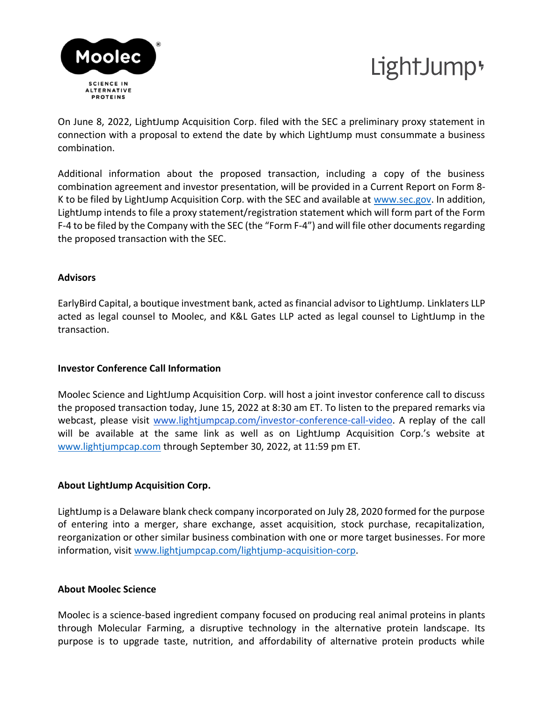



On June 8, 2022, LightJump Acquisition Corp. filed with the SEC a preliminary proxy statement in connection with a proposal to extend the date by which LightJump must consummate a business combination.

Additional information about the proposed transaction, including a copy of the business combination agreement and investor presentation, will be provided in a Current Report on Form 8 K to be filed by LightJump Acquisition Corp. with the SEC and available at [www.sec.gov.](http://www.sec.gov/) In addition, LightJump intends to file a proxy statement/registration statement which will form part of the Form F-4 to be filed by the Company with the SEC (the "Form F-4") and will file other documents regarding the proposed transaction with the SEC.

#### **Advisors**

EarlyBird Capital, a boutique investment bank, acted as financial advisor to LightJump. Linklaters LLP acted as legal counsel to Moolec, and K&L Gates LLP acted as legal counsel to LightJump in the transaction.

### **Investor Conference Call Information**

Moolec Science and LightJump Acquisition Corp. will host a joint investor conference call to discuss the proposed transaction today, June 15, 2022 at 8:30 am ET. To listen to the prepared remarks via webcast, please visit [www.lightjumpcap.com/investor-conference-call-video.](http://www.lightjumpcap.com/investor-conference-call-video) A replay of the call will be available at the same link as well as on LightJump Acquisition Corp.'s website at [www.lightjumpcap.com](http://www.lightjumpcap.com/) through September 30, 2022, at 11:59 pm ET.

### **About LightJump Acquisition Corp.**

LightJump is a Delaware blank check company incorporated on July 28, 2020 formed for the purpose of entering into a merger, share exchange, asset acquisition, stock purchase, recapitalization, reorganization or other similar business combination with one or more target businesses. For more information, visit [www.lightjumpcap.com/lightjump-acquisition-corp.](https://www.lightjumpcap.com/lightjump-acquisition-corp)

#### **About Moolec Science**

Moolec is a science-based ingredient company focused on producing real animal proteins in plants through Molecular Farming, a disruptive technology in the alternative protein landscape. Its purpose is to upgrade taste, nutrition, and affordability of alternative protein products while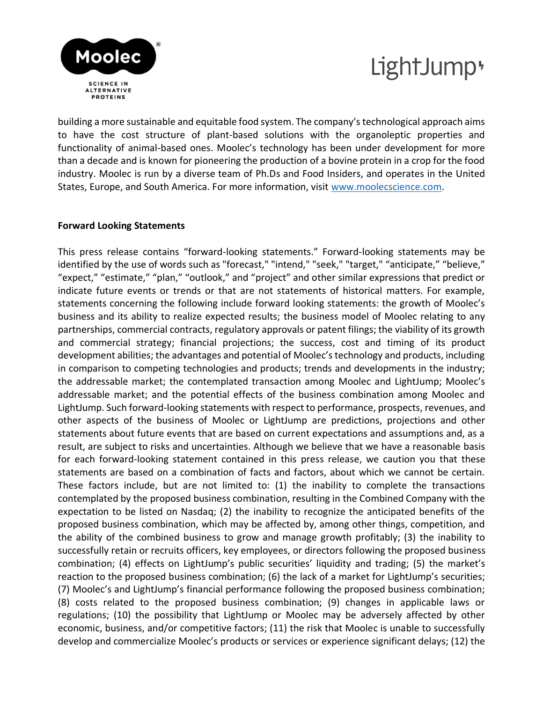



building a more sustainable and equitable food system. The company's technological approach aims to have the cost structure of plant-based solutions with the organoleptic properties and functionality of animal-based ones. Moolec's technology has been under development for more than a decade and is known for pioneering the production of a bovine protein in a crop for the food industry. Moolec is run by a diverse team of Ph.Ds and Food Insiders, and operates in the United States, Europe, and South America. For more information, visit [www.moolecscience.com.](http://www.moolecscience.com/)

#### **Forward Looking Statements**

This press release contains "forward-looking statements." Forward-looking statements may be identified by the use of words such as "forecast," "intend," "seek," "target," "anticipate," "believe," "expect," "estimate," "plan," "outlook," and "project" and other similar expressions that predict or indicate future events or trends or that are not statements of historical matters. For example, statements concerning the following include forward looking statements: the growth of Moolec's business and its ability to realize expected results; the business model of Moolec relating to any partnerships, commercial contracts, regulatory approvals or patent filings; the viability of its growth and commercial strategy; financial projections; the success, cost and timing of its product development abilities; the advantages and potential of Moolec's technology and products, including in comparison to competing technologies and products; trends and developments in the industry; the addressable market; the contemplated transaction among Moolec and LightJump; Moolec's addressable market; and the potential effects of the business combination among Moolec and LightJump. Such forward-looking statements with respect to performance, prospects, revenues, and other aspects of the business of Moolec or LightJump are predictions, projections and other statements about future events that are based on current expectations and assumptions and, as a result, are subject to risks and uncertainties. Although we believe that we have a reasonable basis for each forward-looking statement contained in this press release, we caution you that these statements are based on a combination of facts and factors, about which we cannot be certain. These factors include, but are not limited to: (1) the inability to complete the transactions contemplated by the proposed business combination, resulting in the Combined Company with the expectation to be listed on Nasdaq; (2) the inability to recognize the anticipated benefits of the proposed business combination, which may be affected by, among other things, competition, and the ability of the combined business to grow and manage growth profitably; (3) the inability to successfully retain or recruits officers, key employees, or directors following the proposed business combination; (4) effects on LightJump's public securities' liquidity and trading; (5) the market's reaction to the proposed business combination; (6) the lack of a market for LightJump's securities; (7) Moolec's and LightJump's financial performance following the proposed business combination; (8) costs related to the proposed business combination; (9) changes in applicable laws or regulations; (10) the possibility that LightJump or Moolec may be adversely affected by other economic, business, and/or competitive factors; (11) the risk that Moolec is unable to successfully develop and commercialize Moolec's products or services or experience significant delays; (12) the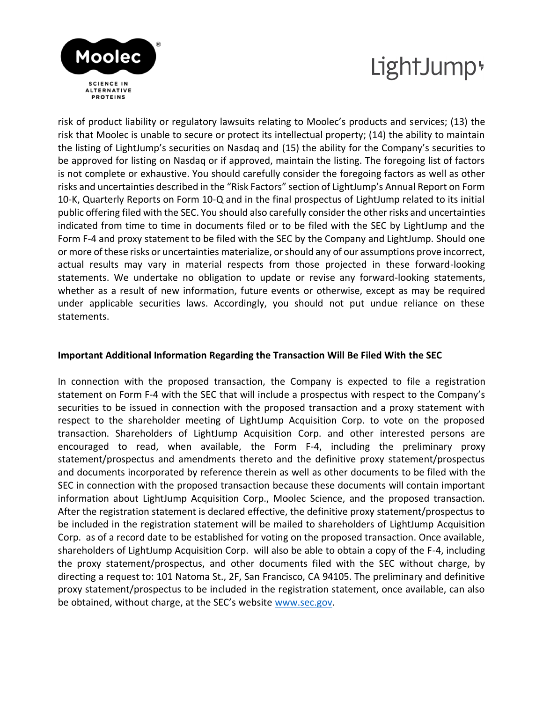



risk of product liability or regulatory lawsuits relating to Moolec's products and services; (13) the risk that Moolec is unable to secure or protect its intellectual property; (14) the ability to maintain the listing of LightJump's securities on Nasdaq and (15) the ability for the Company's securities to be approved for listing on Nasdaq or if approved, maintain the listing. The foregoing list of factors is not complete or exhaustive. You should carefully consider the foregoing factors as well as other risks and uncertainties described in the "Risk Factors" section of LightJump's Annual Report on Form 10-K, Quarterly Reports on Form 10-Q and in the final prospectus of LightJump related to its initial public offering filed with the SEC. You should also carefully consider the other risks and uncertainties indicated from time to time in documents filed or to be filed with the SEC by LightJump and the Form F-4 and proxy statement to be filed with the SEC by the Company and LightJump. Should one or more of these risks or uncertainties materialize, or should any of our assumptions prove incorrect, actual results may vary in material respects from those projected in these forward-looking statements. We undertake no obligation to update or revise any forward-looking statements, whether as a result of new information, future events or otherwise, except as may be required under applicable securities laws. Accordingly, you should not put undue reliance on these statements.

#### **Important Additional Information Regarding the Transaction Will Be Filed With the SEC**

In connection with the proposed transaction, the Company is expected to file a registration statement on Form F-4 with the SEC that will include a prospectus with respect to the Company's securities to be issued in connection with the proposed transaction and a proxy statement with respect to the shareholder meeting of LightJump Acquisition Corp. to vote on the proposed transaction. Shareholders of LightJump Acquisition Corp. and other interested persons are encouraged to read, when available, the Form F-4, including the preliminary proxy statement/prospectus and amendments thereto and the definitive proxy statement/prospectus and documents incorporated by reference therein as well as other documents to be filed with the SEC in connection with the proposed transaction because these documents will contain important information about LightJump Acquisition Corp., Moolec Science, and the proposed transaction. After the registration statement is declared effective, the definitive proxy statement/prospectus to be included in the registration statement will be mailed to shareholders of LightJump Acquisition Corp. as of a record date to be established for voting on the proposed transaction. Once available, shareholders of LightJump Acquisition Corp. will also be able to obtain a copy of the F-4, including the proxy statement/prospectus, and other documents filed with the SEC without charge, by directing a request to: 101 Natoma St., 2F, San Francisco, CA 94105. The preliminary and definitive proxy statement/prospectus to be included in the registration statement, once available, can also be obtained, without charge, at the SEC's website [www.sec.gov.](https://www.sec.gov/)